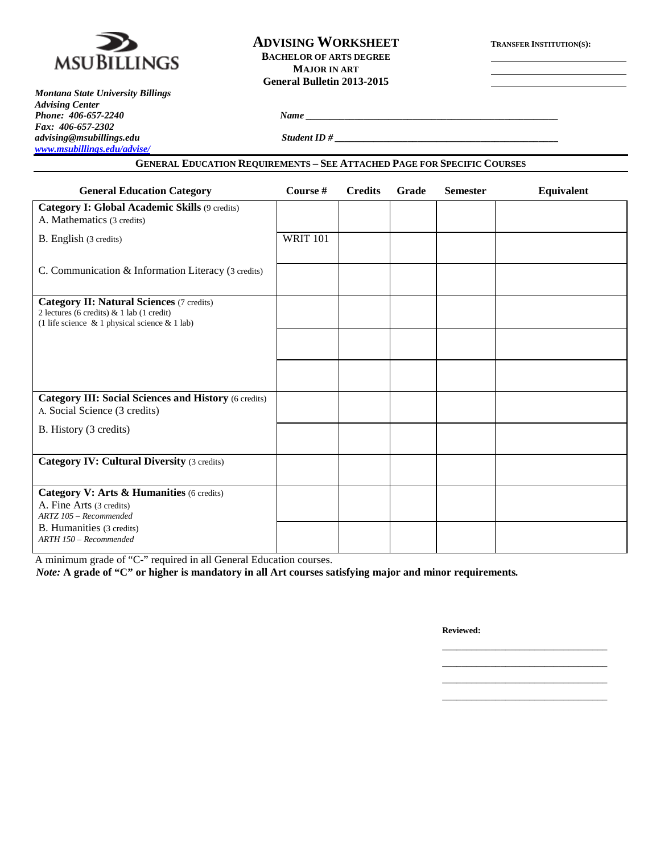

# **ADVISING WORKSHEET TRANSFER INSTITUTION(S): BACHELOR OF ARTS DEGREE MAJOR IN ART General Bulletin 2013-2015**

*Montana State University Billings Advising Center Fax: 406-657-2302 [www.msubillings.edu/advise/](http://www.msubillings.edu/advise/)*

*Phone: 406-657-2240 Name \_\_\_\_\_\_\_\_\_\_\_\_\_\_\_\_\_\_\_\_\_\_\_\_\_\_\_\_\_\_\_\_\_\_\_\_\_\_\_\_\_\_\_\_\_\_\_\_\_\_\_\_*

*advising@msubillings.edu Student ID # \_\_\_\_\_\_\_\_\_\_\_\_\_\_\_\_\_\_\_\_\_\_\_\_\_\_\_\_\_\_\_\_\_\_\_\_\_\_\_\_\_\_\_\_\_\_*

#### **GENERAL EDUCATION REQUIREMENTS – SEE ATTACHED PAGE FOR SPECIFIC COURSES**

| <b>General Education Category</b>                                                                                                                      | Course #        | <b>Credits</b> | Grade | <b>Semester</b> | Equivalent |
|--------------------------------------------------------------------------------------------------------------------------------------------------------|-----------------|----------------|-------|-----------------|------------|
| Category I: Global Academic Skills (9 credits)<br>A. Mathematics (3 credits)                                                                           |                 |                |       |                 |            |
| B. English (3 credits)                                                                                                                                 | <b>WRIT 101</b> |                |       |                 |            |
| C. Communication & Information Literacy (3 credits)                                                                                                    |                 |                |       |                 |            |
| <b>Category II: Natural Sciences (7 credits)</b><br>2 lectures (6 credits) $& 1$ lab (1 credit)<br>(1 life science $\&$ 1 physical science $\&$ 1 lab) |                 |                |       |                 |            |
|                                                                                                                                                        |                 |                |       |                 |            |
|                                                                                                                                                        |                 |                |       |                 |            |
| <b>Category III: Social Sciences and History (6 credits)</b><br>A. Social Science (3 credits)                                                          |                 |                |       |                 |            |
| B. History (3 credits)                                                                                                                                 |                 |                |       |                 |            |
| <b>Category IV: Cultural Diversity (3 credits)</b>                                                                                                     |                 |                |       |                 |            |
| Category V: Arts & Humanities (6 credits)<br>A. Fine Arts (3 credits)<br>ARTZ 105 - Recommended                                                        |                 |                |       |                 |            |
| B. Humanities (3 credits)<br>ARTH 150 - Recommended                                                                                                    |                 |                |       |                 |            |

A minimum grade of "C-" required in all General Education courses.

*Note:* **A grade of "C" or higher is mandatory in all Art courses satisfying major and minor requirements***.*

**Reviewed:**

\_\_\_\_\_\_\_\_\_\_\_\_\_\_\_\_\_\_\_\_\_\_\_\_\_\_\_\_\_\_\_\_\_\_ \_\_\_\_\_\_\_\_\_\_\_\_\_\_\_\_\_\_\_\_\_\_\_\_\_\_\_\_\_\_\_\_\_\_ \_\_\_\_\_\_\_\_\_\_\_\_\_\_\_\_\_\_\_\_\_\_\_\_\_\_\_\_\_\_\_\_\_\_ \_\_\_\_\_\_\_\_\_\_\_\_\_\_\_\_\_\_\_\_\_\_\_\_\_\_\_\_\_\_\_\_\_\_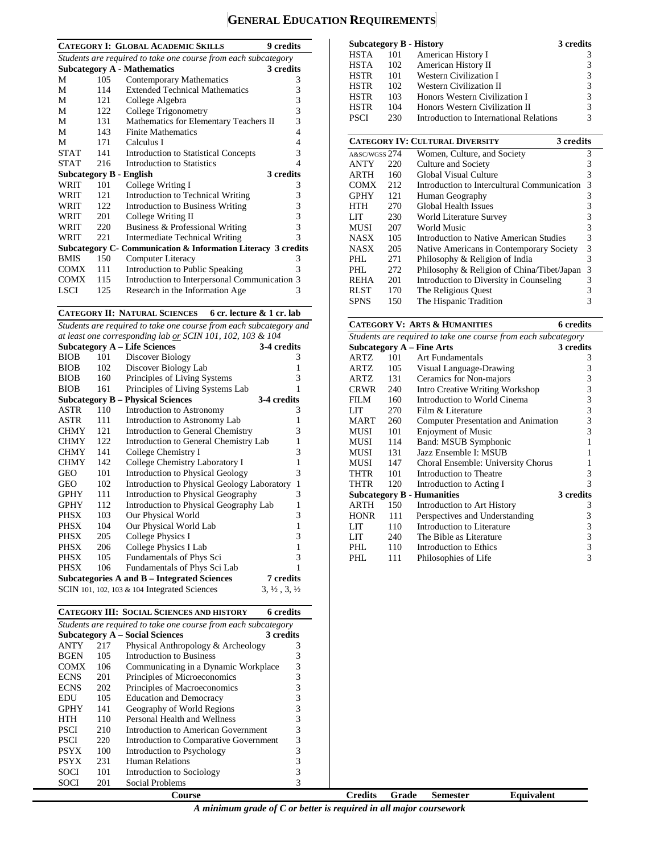# **GENERAL EDUCATION REQUIREMENTS**

|             |                                                                | <b>CATEGORY I: GLOBAL ACADEMIC SKILLS</b><br><b>9</b> credits  |   |  |  |  |
|-------------|----------------------------------------------------------------|----------------------------------------------------------------|---|--|--|--|
|             | Students are required to take one course from each subcategory |                                                                |   |  |  |  |
|             |                                                                | <b>Subcategory A - Mathematics</b><br>3 credits                |   |  |  |  |
| М           | 105                                                            | <b>Contemporary Mathematics</b>                                | 3 |  |  |  |
| М           | 114                                                            | <b>Extended Technical Mathematics</b>                          | 3 |  |  |  |
| M           | 121                                                            | College Algebra                                                | 3 |  |  |  |
| М           | 122                                                            | College Trigonometry                                           | 3 |  |  |  |
| M           | 131                                                            | Mathematics for Elementary Teachers II                         | 3 |  |  |  |
| М           | 143                                                            | <b>Finite Mathematics</b>                                      | 4 |  |  |  |
| М           | 171                                                            | Calculus I                                                     | 4 |  |  |  |
| <b>STAT</b> | 141                                                            | <b>Introduction to Statistical Concepts</b>                    | 3 |  |  |  |
| <b>STAT</b> | 216                                                            | <b>Introduction to Statistics</b>                              | 4 |  |  |  |
|             |                                                                | 3 credits<br>Subcategory B - English                           |   |  |  |  |
| <b>WRIT</b> | 101                                                            | College Writing I                                              | 3 |  |  |  |
| WRIT        | 121                                                            | Introduction to Technical Writing                              | 3 |  |  |  |
| WRIT        | 122                                                            | <b>Introduction to Business Writing</b>                        | 3 |  |  |  |
| WRIT        | 201                                                            | College Writing II                                             | 3 |  |  |  |
| <b>WRIT</b> | 220                                                            | Business & Professional Writing                                | 3 |  |  |  |
| WRIT        | 221                                                            | Intermediate Technical Writing                                 | 3 |  |  |  |
|             |                                                                | Subcategory C - Communication & Information Literacy 3 credits |   |  |  |  |
| <b>BMIS</b> | 150                                                            | Computer Literacy                                              | 3 |  |  |  |
| <b>COMX</b> | 111                                                            | Introduction to Public Speaking                                | 3 |  |  |  |
| <b>COMX</b> | 115                                                            | Introduction to Interpersonal Communication 3                  |   |  |  |  |
| LSCI        | 125                                                            | Research in the Information Age                                | 3 |  |  |  |

**CATEGORY II: NATURAL SCIENCES 6 cr. lecture & 1 cr. lab**

*Students are required to take one course from each subcategory and at least one corresponding lab or SCIN 101, 102, 103 & 104*

|             |     | <b>Subcategory A - Life Sciences</b>            | 3-4 credits                      |
|-------------|-----|-------------------------------------------------|----------------------------------|
| <b>BIOB</b> | 101 | Discover Biology                                | 3                                |
| <b>BIOB</b> | 102 | Discover Biology Lab                            | 1                                |
| <b>BIOB</b> | 160 | Principles of Living Systems                    | 3                                |
| <b>BIOB</b> | 161 | Principles of Living Systems Lab                | 1                                |
|             |     | <b>Subcategory B – Physical Sciences</b>        | 3-4 credits                      |
| ASTR        | 110 | Introduction to Astronomy                       | 3                                |
| ASTR        | 111 | Introduction to Astronomy Lab                   | 1                                |
| <b>CHMY</b> | 121 | Introduction to General Chemistry               | 3                                |
| <b>CHMY</b> | 122 | Introduction to General Chemistry Lab           | 1                                |
| <b>CHMY</b> | 141 | College Chemistry I                             | 3                                |
| <b>CHMY</b> | 142 | College Chemistry Laboratory I                  | $\mathbf{1}$                     |
| GEO         | 101 | <b>Introduction to Physical Geology</b>         | 3                                |
| GEO         | 102 | Introduction to Physical Geology Laboratory     | 1                                |
| <b>GPHY</b> | 111 | Introduction to Physical Geography              | 3                                |
| <b>GPHY</b> | 112 | Introduction to Physical Geography Lab          | 1                                |
| PHSX        | 103 | Our Physical World                              | 3                                |
| PHSX        | 104 | Our Physical World Lab                          | $\mathbf{1}$                     |
| PHSX        | 205 | College Physics I                               | 3                                |
| PHSX        | 206 | College Physics I Lab                           | 1                                |
| PHSX        | 105 | Fundamentals of Phys Sci                        | 3                                |
| <b>PHSX</b> | 106 | Fundamentals of Phys Sci Lab                    | 1                                |
|             |     | Subcategories A and B – Integrated Sciences     | 7 credits                        |
|             |     | SCIN 101, 102, 103 $\&$ 104 Integrated Sciences | $3, \frac{1}{2}, 3, \frac{1}{2}$ |

| CATEGORY III: SOCIAL SCIENCES AND HISTORY<br>6 credits |  |
|--------------------------------------------------------|--|
|--------------------------------------------------------|--|

| Students are required to take one course from each subcategory |                                                     |                                        |   |  |  |  |  |
|----------------------------------------------------------------|-----------------------------------------------------|----------------------------------------|---|--|--|--|--|
|                                                                | <b>Subcategory A – Social Sciences</b><br>3 credits |                                        |   |  |  |  |  |
| <b>ANTY</b>                                                    | 217                                                 | Physical Anthropology & Archeology     | 3 |  |  |  |  |
| <b>BGEN</b>                                                    | 105                                                 | Introduction to Business               | 3 |  |  |  |  |
| <b>COMX</b>                                                    | 106                                                 | Communicating in a Dynamic Workplace   | 3 |  |  |  |  |
| <b>ECNS</b>                                                    | 201                                                 | Principles of Microeconomics           | 3 |  |  |  |  |
| <b>ECNS</b>                                                    | 202                                                 | Principles of Macroeconomics           | 3 |  |  |  |  |
| EDU                                                            | 105                                                 | <b>Education and Democracy</b>         | 3 |  |  |  |  |
| <b>GPHY</b>                                                    | 141                                                 | Geography of World Regions             | 3 |  |  |  |  |
| <b>HTH</b>                                                     | 110                                                 | Personal Health and Wellness           | 3 |  |  |  |  |
| <b>PSCI</b>                                                    | 210                                                 | Introduction to American Government    | 3 |  |  |  |  |
| <b>PSCI</b>                                                    | 220                                                 | Introduction to Comparative Government | 3 |  |  |  |  |
| <b>PSYX</b>                                                    | 100                                                 | Introduction to Psychology             | 3 |  |  |  |  |
| <b>PSYX</b>                                                    | 231                                                 | <b>Human Relations</b>                 |   |  |  |  |  |
| SOCI                                                           | 101                                                 | Introduction to Sociology              |   |  |  |  |  |
| SOCI                                                           | 201                                                 | Social Problems                        |   |  |  |  |  |

|             |     | <b>Subcategory B - History</b>          | 3 credits |
|-------------|-----|-----------------------------------------|-----------|
| HSTA        | 101 | American History I                      | 3         |
| <b>HSTA</b> | 102 | American History II                     | 3         |
| <b>HSTR</b> | 101 | <b>Western Civilization I</b>           | 3         |
| <b>HSTR</b> | 102 | Western Civilization II                 | 3         |
| <b>HSTR</b> | 103 | Honors Western Civilization I           | 3         |
| <b>HSTR</b> | 104 | Honors Western Civilization II          | 3         |
| <b>PSCI</b> | 230 | Introduction to International Relations | 3         |

|               |     | <b>CATEGORY IV: CULTURAL DIVERSITY</b><br>3 credits |   |
|---------------|-----|-----------------------------------------------------|---|
| A&SC/WGSS 274 |     | Women, Culture, and Society                         | 3 |
| <b>ANTY</b>   | 220 | Culture and Society                                 | 3 |
| <b>ARTH</b>   | 160 | Global Visual Culture                               | 3 |
| <b>COMX</b>   | 212 | Introduction to Intercultural Communication         | 3 |
| <b>GPHY</b>   | 121 | Human Geography                                     | 3 |
| <b>HTH</b>    | 270 | <b>Global Health Issues</b>                         | 3 |
| LIT           | 230 | World Literature Survey                             | 3 |
| <b>MUSI</b>   | 207 | World Music                                         | 3 |
| <b>NASX</b>   | 105 | Introduction to Native American Studies             | 3 |
| <b>NASX</b>   | 205 | Native Americans in Contemporary Society            | 3 |
| PHL           | 271 | Philosophy & Religion of India                      | 3 |
| PHL           | 272 | Philosophy & Religion of China/Tibet/Japan          | 3 |
| <b>REHA</b>   | 201 | Introduction to Diversity in Counseling             | 3 |
| <b>RLST</b>   | 170 | The Religious Quest                                 | 3 |
| <b>SPNS</b>   | 150 | The Hispanic Tradition                              | 3 |

#### **CATEGORY V: ARTS & HUMANITIES 6 credits**

| Students are required to take one course from each subcategory |                                               |                                        |           |  |  |  |
|----------------------------------------------------------------|-----------------------------------------------|----------------------------------------|-----------|--|--|--|
|                                                                | <b>Subcategory A - Fine Arts</b><br>3 credits |                                        |           |  |  |  |
| ARTZ                                                           | 101                                           | <b>Art Fundamentals</b>                | 3         |  |  |  |
| ARTZ                                                           | 105                                           | Visual Language-Drawing                | 3         |  |  |  |
| ARTZ                                                           | 131                                           | Ceramics for Non-majors                | 3         |  |  |  |
| CRWR                                                           | 240                                           | <b>Intro Creative Writing Workshop</b> | 3         |  |  |  |
| FILM                                                           | 160                                           | Introduction to World Cinema           | 3         |  |  |  |
| LIT                                                            | 270                                           | Film & Literature                      | 3         |  |  |  |
| MART                                                           | 260                                           | Computer Presentation and Animation    | 3         |  |  |  |
| MUSI                                                           | 101                                           | <b>Enjoyment of Music</b>              | 3         |  |  |  |
| MUSI                                                           | 114                                           | Band: MSUB Symphonic                   | 1         |  |  |  |
| MUSI                                                           | 131                                           | Jazz Ensemble I: MSUB                  | 1         |  |  |  |
| MUSI                                                           | 147                                           | Choral Ensemble: University Chorus     | 1         |  |  |  |
| THTR                                                           | 101                                           | Introduction to Theatre                | 3         |  |  |  |
| THTR                                                           | 120                                           | Introduction to Acting I               | 3         |  |  |  |
|                                                                |                                               | <b>Subcategory B - Humanities</b>      | 3 credits |  |  |  |
| ARTH                                                           | 150                                           | Introduction to Art History            | 3         |  |  |  |
| <b>HONR</b>                                                    | 111                                           | Perspectives and Understanding         | 3         |  |  |  |
| LIT                                                            | 110                                           | Introduction to Literature             | 3         |  |  |  |
| LIT.                                                           | 240                                           | The Bible as Literature                | 3         |  |  |  |
| PHL                                                            | 110                                           | Introduction to Ethics                 | 3         |  |  |  |
| PHL                                                            | 111                                           | Philosophies of Life                   | 3         |  |  |  |

**Course Credits Grade Semester Equivalent** *A minimum grade of C or better is required in all major coursework*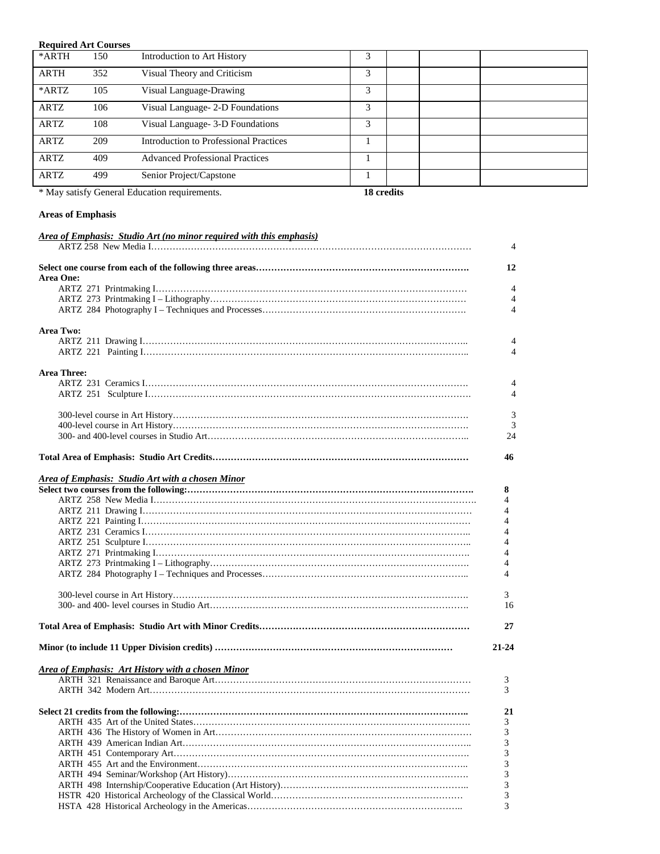| <b>Required Art Courses</b> |     |                                               |   |  |
|-----------------------------|-----|-----------------------------------------------|---|--|
| *ARTH                       | 150 | Introduction to Art History                   | 3 |  |
| <b>ARTH</b>                 | 352 | Visual Theory and Criticism                   | 3 |  |
| *ARTZ                       | 105 | Visual Language-Drawing                       | 3 |  |
| <b>ARTZ</b>                 | 106 | Visual Language- 2-D Foundations              | 3 |  |
| <b>ARTZ</b>                 | 108 | Visual Language- 3-D Foundations              | 3 |  |
| <b>ARTZ</b>                 | 209 | <b>Introduction to Professional Practices</b> |   |  |
| <b>ARTZ</b>                 | 409 | <b>Advanced Professional Practices</b>        |   |  |
| ARTZ                        | 499 | Senior Project/Capstone                       |   |  |

\* May satisfy General Education requirements. **18 credits**

# **Areas of Emphasis**

| Area One:<br><b>Area Two:</b><br><b>Area Three:</b><br>46<br><b>Area of Emphasis: Studio Art with a chosen Minor</b><br>8<br>4<br>4<br>4<br>4<br>4<br>4<br>4<br>4<br>3<br>$21 - 24$<br><b>Area of Emphasis: Art History with a chosen Minor</b><br>3<br>3<br>21<br>3<br>3<br>3<br>3<br>3<br>3<br>3<br>3 | Area of Emphasis: Studio Art (no minor required with this emphasis) |                |
|---------------------------------------------------------------------------------------------------------------------------------------------------------------------------------------------------------------------------------------------------------------------------------------------------------|---------------------------------------------------------------------|----------------|
|                                                                                                                                                                                                                                                                                                         |                                                                     | $\overline{4}$ |
|                                                                                                                                                                                                                                                                                                         |                                                                     |                |
|                                                                                                                                                                                                                                                                                                         |                                                                     | 12             |
|                                                                                                                                                                                                                                                                                                         |                                                                     |                |
|                                                                                                                                                                                                                                                                                                         |                                                                     | $\overline{4}$ |
|                                                                                                                                                                                                                                                                                                         |                                                                     | 4              |
|                                                                                                                                                                                                                                                                                                         |                                                                     | $\overline{4}$ |
|                                                                                                                                                                                                                                                                                                         |                                                                     |                |
|                                                                                                                                                                                                                                                                                                         |                                                                     |                |
|                                                                                                                                                                                                                                                                                                         |                                                                     | $\overline{4}$ |
|                                                                                                                                                                                                                                                                                                         |                                                                     | 4              |
|                                                                                                                                                                                                                                                                                                         |                                                                     |                |
|                                                                                                                                                                                                                                                                                                         |                                                                     |                |
|                                                                                                                                                                                                                                                                                                         |                                                                     | 4              |
|                                                                                                                                                                                                                                                                                                         |                                                                     | $\overline{4}$ |
|                                                                                                                                                                                                                                                                                                         |                                                                     |                |
|                                                                                                                                                                                                                                                                                                         |                                                                     | 3              |
|                                                                                                                                                                                                                                                                                                         |                                                                     | $\overline{3}$ |
|                                                                                                                                                                                                                                                                                                         |                                                                     | 24             |
|                                                                                                                                                                                                                                                                                                         |                                                                     |                |
|                                                                                                                                                                                                                                                                                                         |                                                                     |                |
|                                                                                                                                                                                                                                                                                                         |                                                                     |                |
|                                                                                                                                                                                                                                                                                                         |                                                                     |                |
|                                                                                                                                                                                                                                                                                                         |                                                                     |                |
|                                                                                                                                                                                                                                                                                                         |                                                                     |                |
|                                                                                                                                                                                                                                                                                                         |                                                                     |                |
|                                                                                                                                                                                                                                                                                                         |                                                                     |                |
|                                                                                                                                                                                                                                                                                                         |                                                                     |                |
|                                                                                                                                                                                                                                                                                                         |                                                                     |                |
|                                                                                                                                                                                                                                                                                                         |                                                                     |                |
|                                                                                                                                                                                                                                                                                                         |                                                                     |                |
|                                                                                                                                                                                                                                                                                                         |                                                                     |                |
|                                                                                                                                                                                                                                                                                                         |                                                                     |                |
|                                                                                                                                                                                                                                                                                                         |                                                                     |                |
|                                                                                                                                                                                                                                                                                                         |                                                                     | 16             |
|                                                                                                                                                                                                                                                                                                         |                                                                     |                |
|                                                                                                                                                                                                                                                                                                         |                                                                     | 27             |
|                                                                                                                                                                                                                                                                                                         |                                                                     |                |
|                                                                                                                                                                                                                                                                                                         |                                                                     |                |
|                                                                                                                                                                                                                                                                                                         |                                                                     |                |
|                                                                                                                                                                                                                                                                                                         |                                                                     |                |
|                                                                                                                                                                                                                                                                                                         |                                                                     |                |
|                                                                                                                                                                                                                                                                                                         |                                                                     |                |
|                                                                                                                                                                                                                                                                                                         |                                                                     |                |
|                                                                                                                                                                                                                                                                                                         |                                                                     |                |
|                                                                                                                                                                                                                                                                                                         |                                                                     |                |
|                                                                                                                                                                                                                                                                                                         |                                                                     |                |
|                                                                                                                                                                                                                                                                                                         |                                                                     |                |
|                                                                                                                                                                                                                                                                                                         |                                                                     |                |
|                                                                                                                                                                                                                                                                                                         |                                                                     |                |
|                                                                                                                                                                                                                                                                                                         |                                                                     |                |
|                                                                                                                                                                                                                                                                                                         |                                                                     |                |
|                                                                                                                                                                                                                                                                                                         |                                                                     |                |
| 3                                                                                                                                                                                                                                                                                                       |                                                                     |                |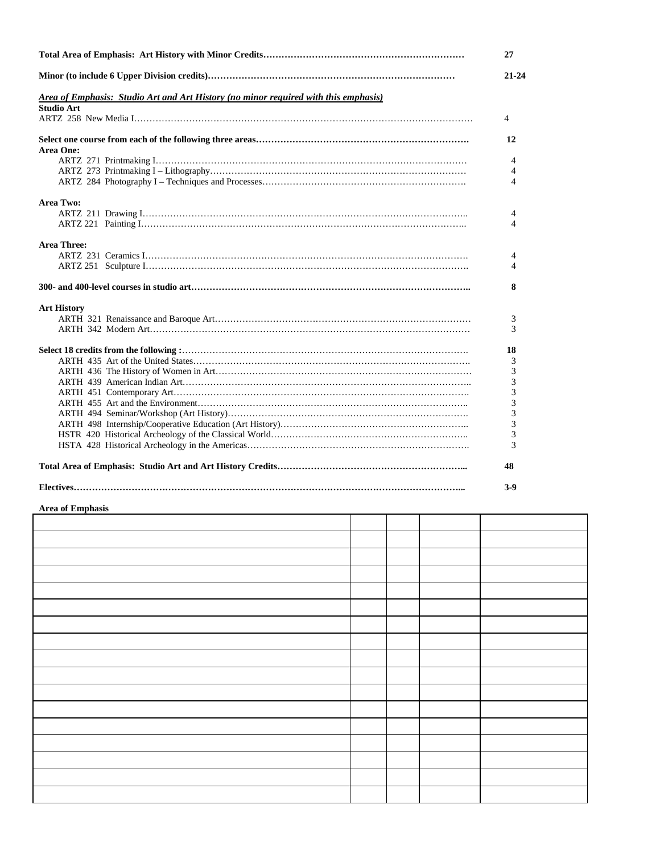|                                                                                     | 27             |
|-------------------------------------------------------------------------------------|----------------|
|                                                                                     | $21 - 24$      |
| Area of Emphasis: Studio Art and Art History (no minor required with this emphasis) |                |
| <b>Studio Art</b>                                                                   |                |
|                                                                                     | $\overline{4}$ |
|                                                                                     | 12             |
| Area One:                                                                           |                |
|                                                                                     | 4              |
|                                                                                     | 4              |
|                                                                                     | 4              |
| <b>Area Two:</b>                                                                    |                |
|                                                                                     | 4              |
|                                                                                     | 4              |
| <b>Area Three:</b>                                                                  |                |
|                                                                                     | 4              |
|                                                                                     | 4              |
|                                                                                     | 8              |
| <b>Art History</b>                                                                  |                |
|                                                                                     | 3              |
|                                                                                     | 3              |
|                                                                                     | 18             |
|                                                                                     | 3              |
|                                                                                     | 3              |
|                                                                                     | 3              |
|                                                                                     | 3              |
|                                                                                     | 3              |
|                                                                                     | 3              |
|                                                                                     | 3              |
|                                                                                     | 3              |
|                                                                                     | 3              |
|                                                                                     | 48             |
|                                                                                     | $3-9$          |

#### **Area of Emphasis**